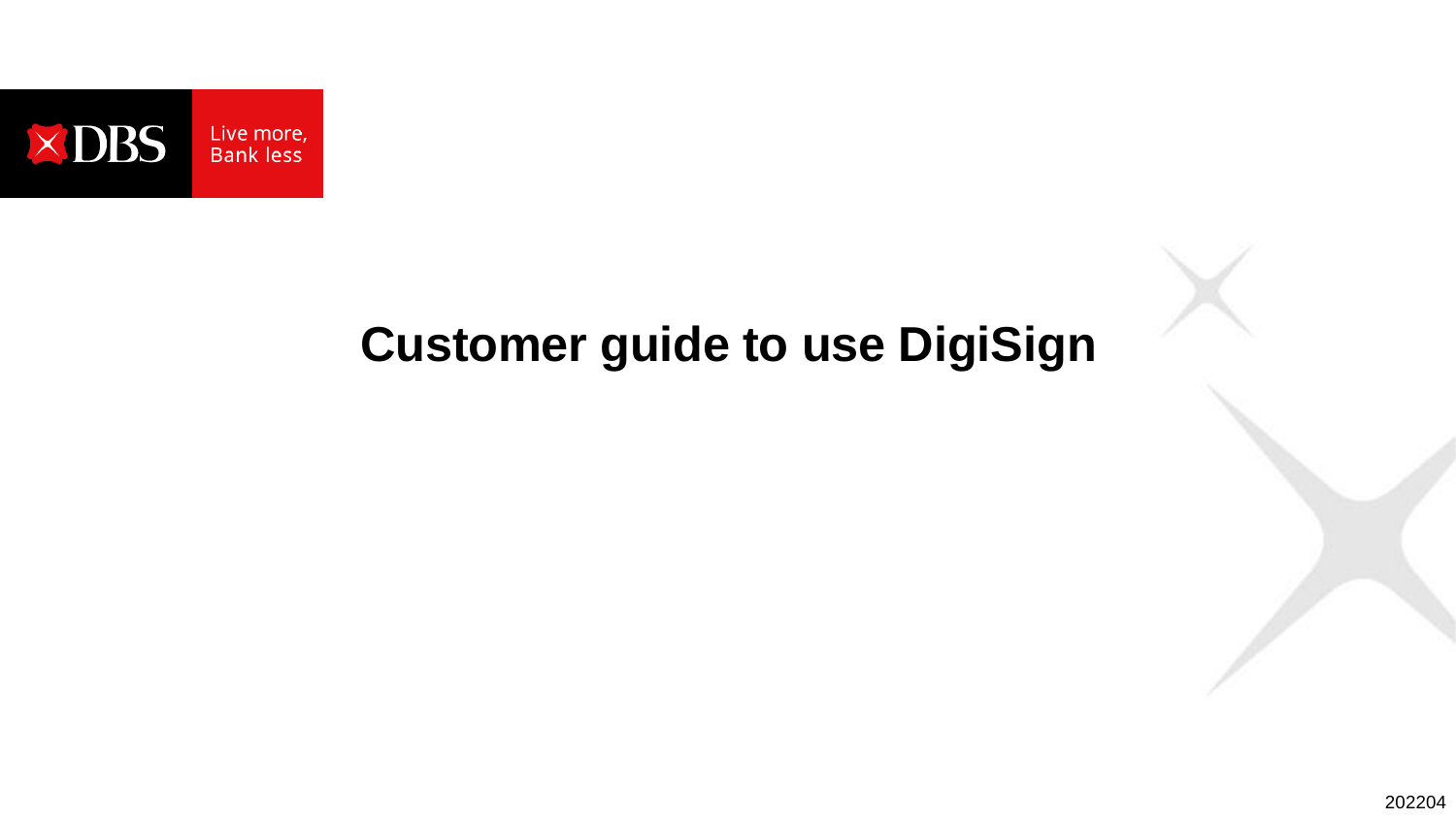

# **Customer guide to use DigiSign**

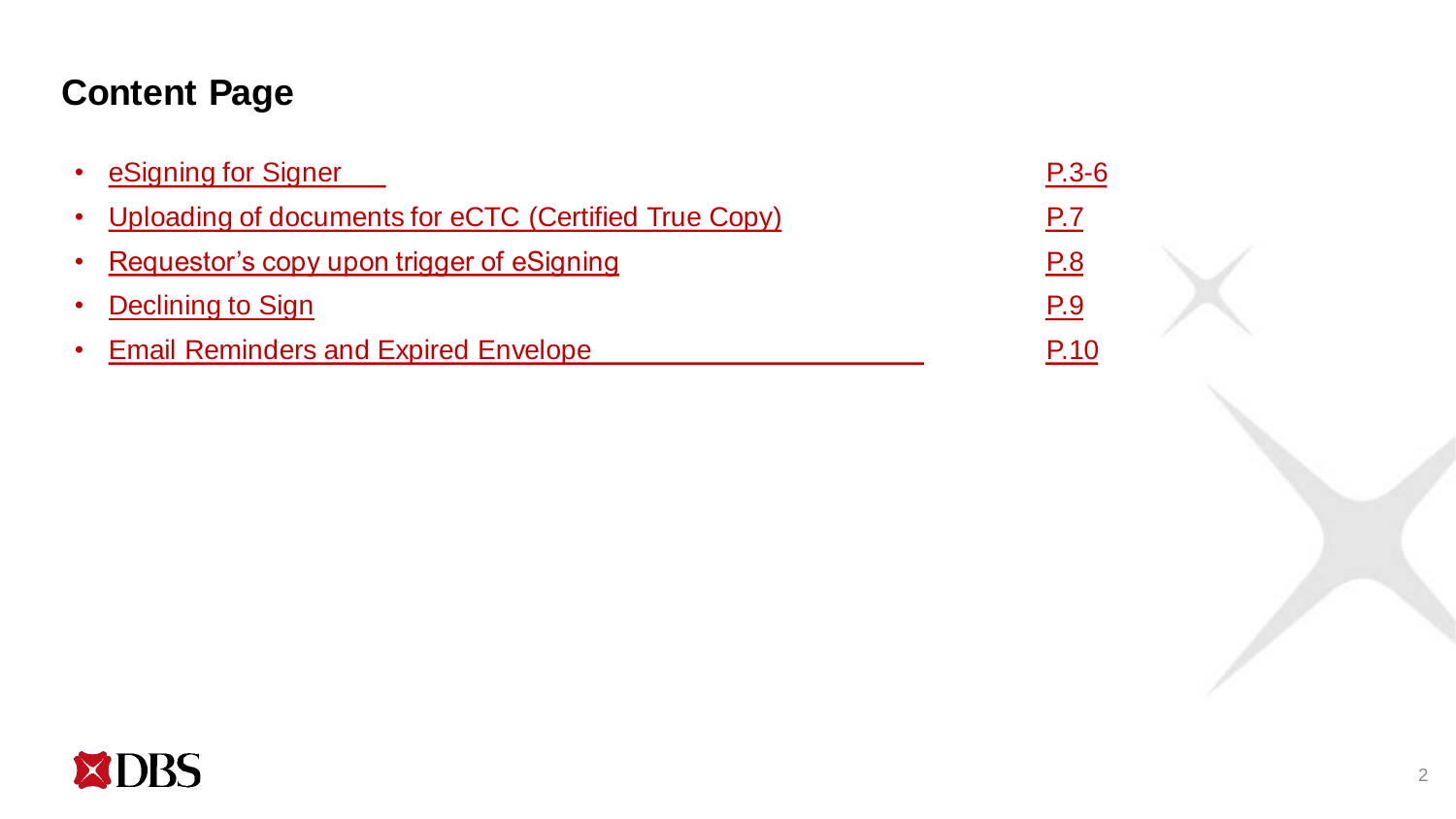## **Content Page**

| • eSigning for Signer                                   | $P.3-6$ |
|---------------------------------------------------------|---------|
| • Uploading of documents for eCTC (Certified True Copy) | P.7     |
| • Requestor's copy upon trigger of eSigning             | P.8     |
| • Declining to Sign                                     | P.9     |
| • Email Reminders and Expired Envelope                  | P.10    |

<span id="page-1-0"></span>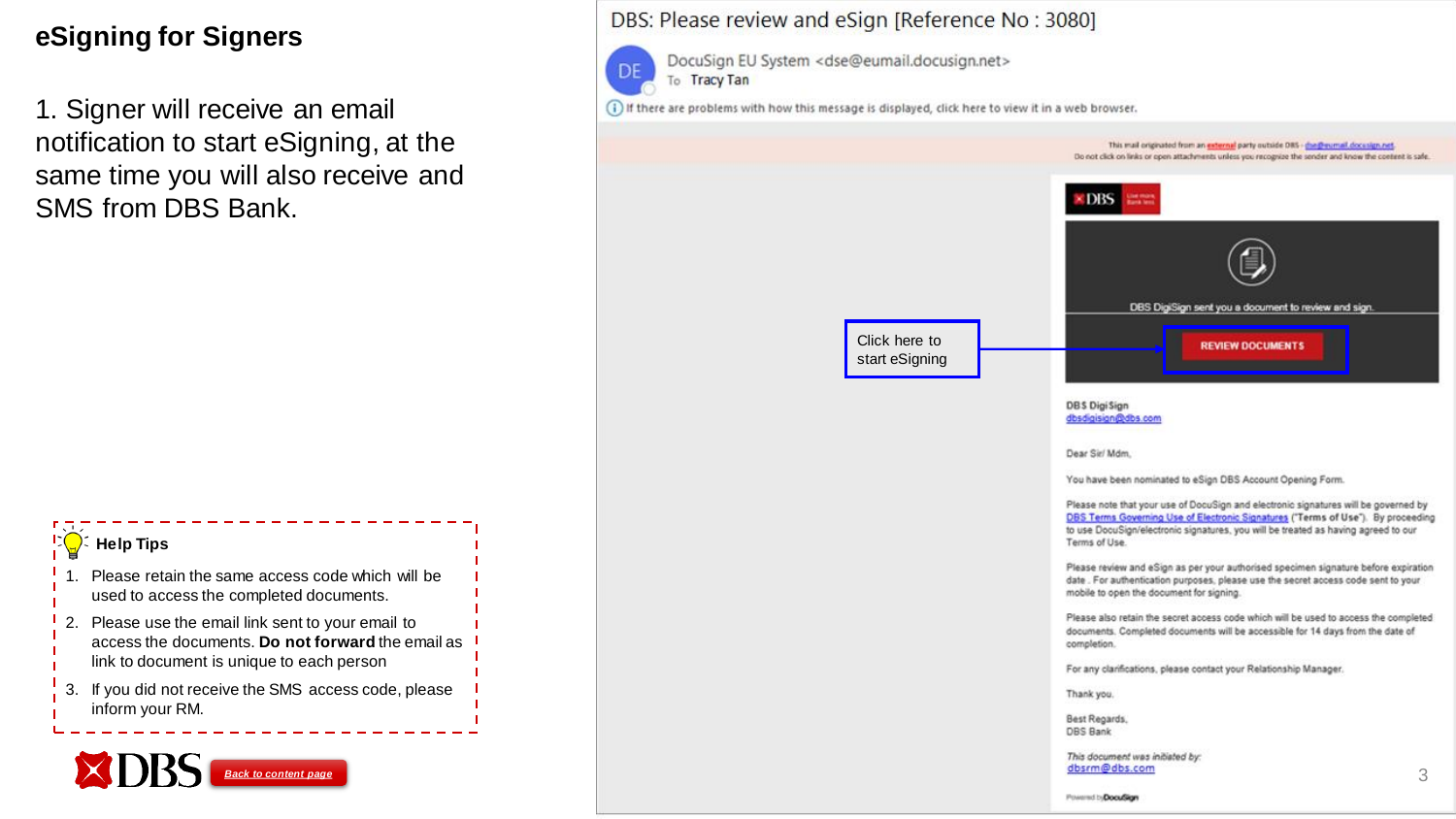## **eSigning for Signers**

1. Signer will receive an email notification to start eSigning, at the same time you will also receive and SMS from DBS Bank.

<span id="page-2-0"></span>

#### DBS: Please review and eSign [Reference No : 3080] DocuSign EU System <dse@eumail.docusign.net> To Tracy Tan (i) If there are problems with how this message is displayed, click here to view it in a web browser. This mail originated from an external party outside DRS - (he@eumail.docusign.net Do not click on links or open attachments unless you recognize the sender and know the content is safe. DBS DBS DigiSign sent you a document to review and sign Click here to **REVIEW DOCUMENTS** start eSigning DBS DigiSign dbsdigisign@dbs.com Dear Sir/ Mdm. You have been nominated to eSign DBS Account Opening Form. Please note that your use of DocuSign and electronic signatures will be governed by DBS Terms Governing Use of Electronic Signatures ("Terms of Use"). By proceeding to use DocuSign/electronic signatures, you will be treated as having agreed to our Terms of Use. Please review and eSign as per your authorised specimen signature before expiration date . For authentication purposes, please use the secret access code sent to your mobile to open the document for signing. Please also retain the secret access code which will be used to access the completed documents. Completed documents will be accessible for 14 days from the date of completion. For any clarifications, please contact your Relationship Manager. Thank you.

DF

Best Regards. **DBS Bank** 

This document was initiated by:

Powered by DocuSign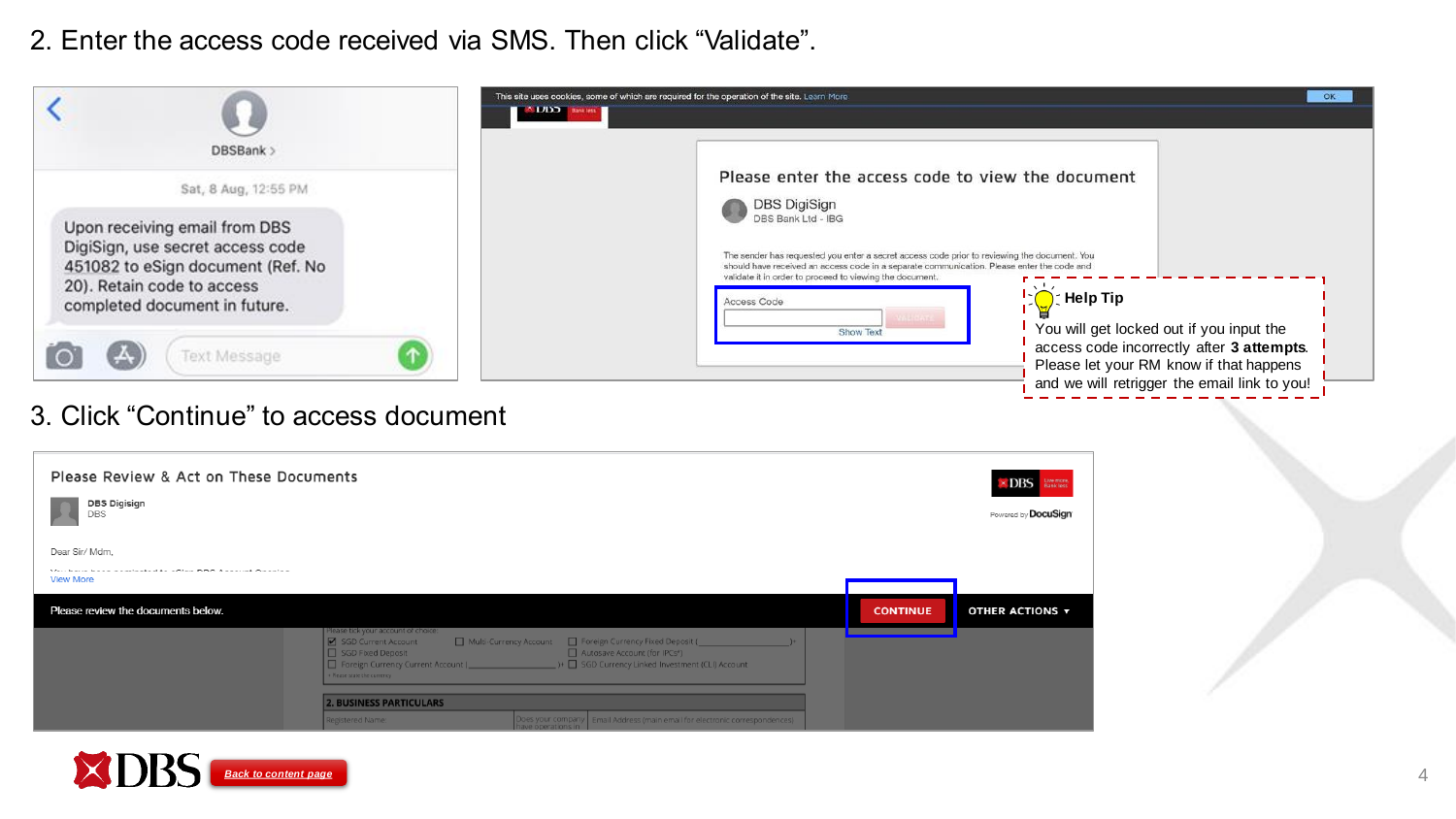2. Enter the access code received via SMS. Then click "Validate".



#### 3. Click "Continue" to access document

| Please Review & Act on These Documents<br><b>DBS Digisign</b><br>DBS                              |                                                                                                                                                                      |                                                                                                                                                                                                               |                 | Live more,<br>Bank less<br>$\times$ DBS<br>Powered by DocuSign |
|---------------------------------------------------------------------------------------------------|----------------------------------------------------------------------------------------------------------------------------------------------------------------------|---------------------------------------------------------------------------------------------------------------------------------------------------------------------------------------------------------------|-----------------|----------------------------------------------------------------|
| Dear Sir/ Mdm,<br>Mail baile base associated to affine DDF Associat Operation<br><b>View More</b> |                                                                                                                                                                      |                                                                                                                                                                                                               |                 |                                                                |
| Please review the documents below.                                                                | Please tick your account of choice:<br>SGD Current Account<br>SGD Fixed Deposit<br>+ Please state the currency<br><b>2. BUSINESS PARTICULARS</b><br>Registered Name: | Multi-Currency Account   Foreign Currency Fixed Deposit (<br>Autosave Account (for IPCs <sup>*</sup> )<br>Does your company   Email Address (main email for electronic correspondences)<br>have operations in | <b>CONTINUE</b> | OTHER ACTIONS $\blacktriangledown$                             |

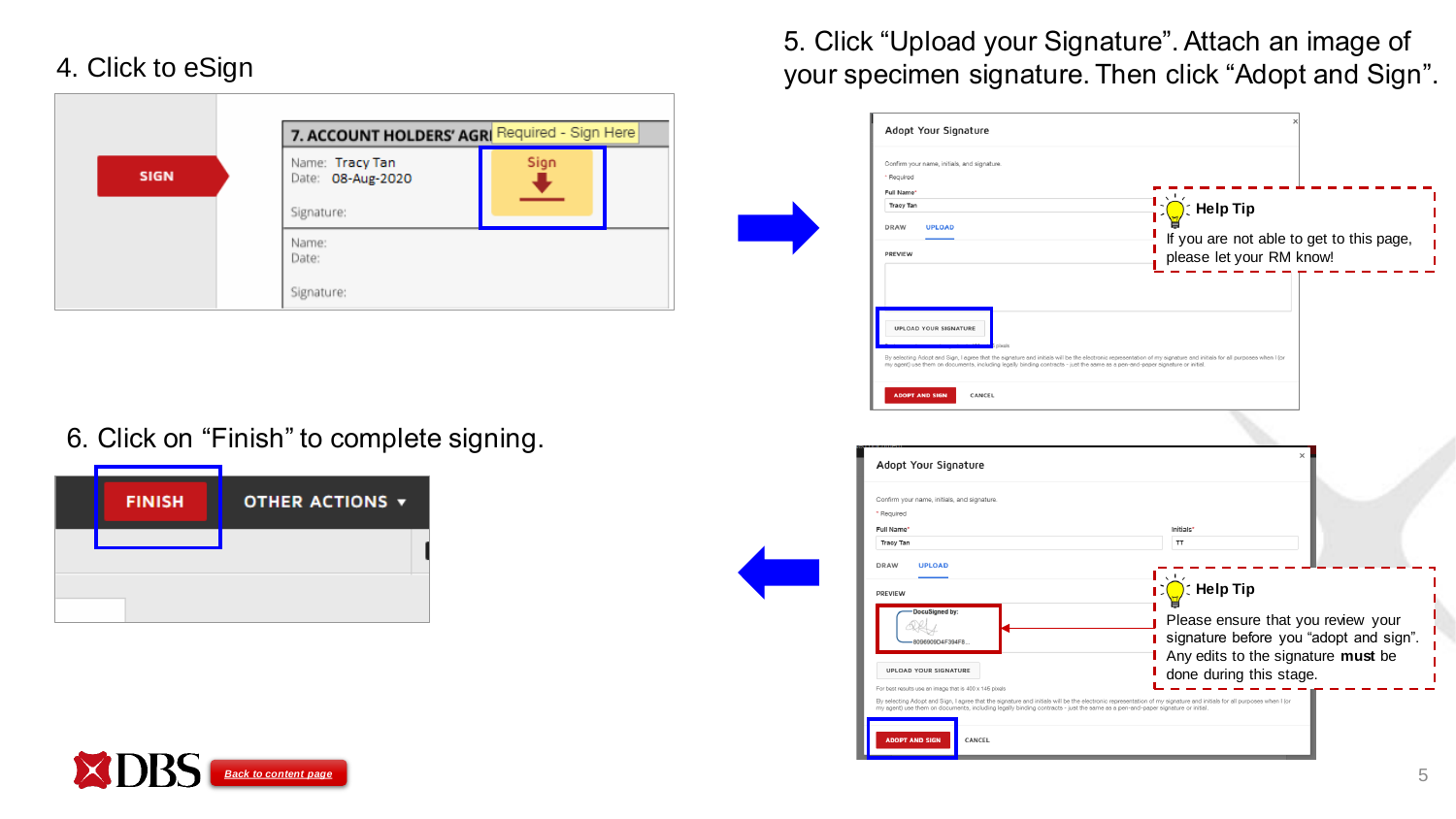## 4. Click to eSign

|             | 7. ACCOUNT HOLDERS' AGRI Required - Sign Here              |  |
|-------------|------------------------------------------------------------|--|
| <b>SIGN</b> | Sign<br>Name: Tracy Tan<br>Date: 08-Aug-2020<br>Signature: |  |
|             | Name:<br>Date:<br>Signature:                               |  |

#### 6. Click on "Finish" to complete signing.

| <b>FINISH</b> | OTHER ACTIONS $\blacktriangledown$ |
|---------------|------------------------------------|
|               |                                    |
|               |                                    |

5. Click "Upload your Signature". Attach an image of your specimen signature. Then click "Adopt and Sign".

| * Required                                                                                                                    |                                                                                                                                                                     |
|-------------------------------------------------------------------------------------------------------------------------------|---------------------------------------------------------------------------------------------------------------------------------------------------------------------|
| Full Name*                                                                                                                    |                                                                                                                                                                     |
| <b>Tracy Tan</b>                                                                                                              | $\sum_{i=1}^{n}$ Help Tip                                                                                                                                           |
| <b>DRAW</b><br><b>UPLOAD</b>                                                                                                  |                                                                                                                                                                     |
|                                                                                                                               | If you are not able to get to this page,                                                                                                                            |
| PREVIEW                                                                                                                       | please let your RM know!                                                                                                                                            |
|                                                                                                                               |                                                                                                                                                                     |
|                                                                                                                               |                                                                                                                                                                     |
|                                                                                                                               |                                                                                                                                                                     |
|                                                                                                                               |                                                                                                                                                                     |
|                                                                                                                               |                                                                                                                                                                     |
|                                                                                                                               |                                                                                                                                                                     |
| <b>UPLOAD YOUR SIGNATURE</b>                                                                                                  |                                                                                                                                                                     |
| pixels                                                                                                                        |                                                                                                                                                                     |
| my agent) use them on documents, including legally binding contracts - just the same as a pen-and-paper signature or initial. | By selecting Adopt and Sign, I agree that the signature and initials will be the electronic representation of my signature and initials for all purposes when I (or |
|                                                                                                                               |                                                                                                                                                                     |
| CANCEL<br><b>ADOPT AND SIGN</b>                                                                                               |                                                                                                                                                                     |

| Confirm your name, initials, and signature,                                                                                                                                                                                                                                                                                                                    |                                                                              |
|----------------------------------------------------------------------------------------------------------------------------------------------------------------------------------------------------------------------------------------------------------------------------------------------------------------------------------------------------------------|------------------------------------------------------------------------------|
| * Required                                                                                                                                                                                                                                                                                                                                                     |                                                                              |
| Full Name*                                                                                                                                                                                                                                                                                                                                                     | Initials*                                                                    |
| <b>Tracy Tan</b>                                                                                                                                                                                                                                                                                                                                               | <b>TT</b>                                                                    |
| <b>DRAW</b><br><b>UPLOAD</b>                                                                                                                                                                                                                                                                                                                                   |                                                                              |
| <b>PREVIEW</b>                                                                                                                                                                                                                                                                                                                                                 | <b>: Help Tip</b>                                                            |
| DocuSigned by:<br>8096909D4F394F8                                                                                                                                                                                                                                                                                                                              | Please ensure that you review your<br>signature before you "adopt and sign". |
| <b>UPLOAD YOUR SIGNATURE</b>                                                                                                                                                                                                                                                                                                                                   | Any edits to the signature must be<br>done during this stage.                |
| For best results use an image that is 400 x 145 pixels<br>By selecting Adopt and Sign, I agree that the signature and initials will be the electronic representation of my signature and initials for all purposes when I (or<br>my agent) use them on documents, including legally binding contracts - just the same as a pen-and-paper signature or initial. |                                                                              |

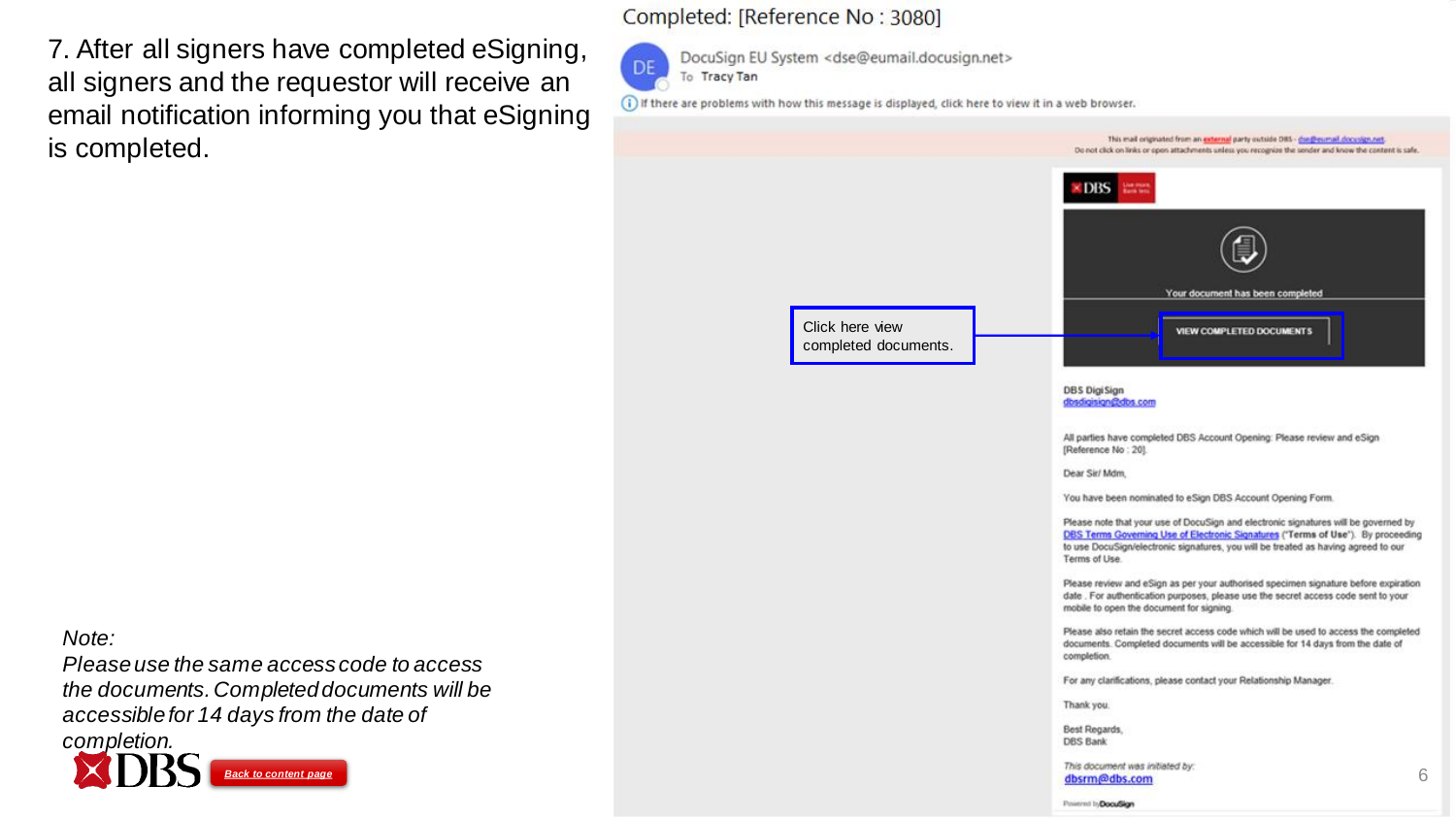7. After all signers have completed eSigning, all signers and the requestor will receive an email notification informing you that eSigning is completed.

#### Completed: [Reference No : 3080]



DocuSign EU System <dse@eumail.docusign.net> To Tracy Tan

(i) If there are problems with how this message is displayed, click here to view it in a web browser.



*Note:*

*Please use the same access code to access the documents. Completed documents will be accessible for 14 days from the date of completion.*

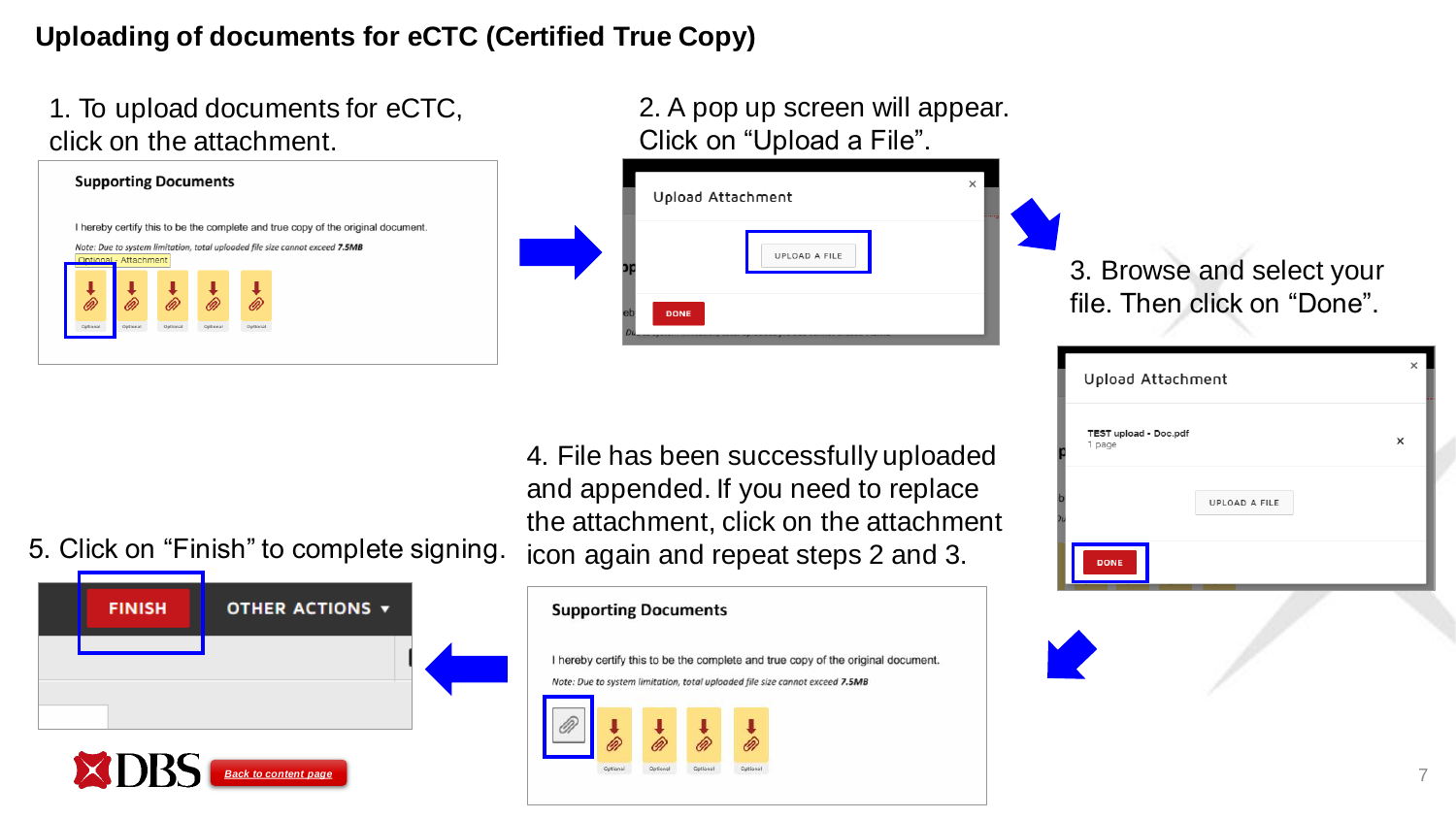## **Uploading of documents for eCTC (Certified True Copy)**

1. To upload documents for eCTC, click on the attachment.

|          |                       |          |          |          | I hereby certify this to be the complete and true copy of the original document. |  |
|----------|-----------------------|----------|----------|----------|----------------------------------------------------------------------------------|--|
|          |                       |          |          |          | Note: Due to system limitation, total uploaded file size cannot exceed 7.5MB     |  |
|          | Optional - Attachment |          |          |          |                                                                                  |  |
|          |                       |          |          |          |                                                                                  |  |
|          |                       |          |          |          |                                                                                  |  |
|          |                       |          |          | i.       |                                                                                  |  |
|          |                       |          |          |          |                                                                                  |  |
| Optional | Oetional              | Optional | Optional |          |                                                                                  |  |
|          |                       |          |          | Optional |                                                                                  |  |

| 2. A pop up screen will appear.<br>Click on "Upload a File". |                                                          |
|--------------------------------------------------------------|----------------------------------------------------------|
| Upload Attachment<br>UPLOAD A FILE<br><b>DONE</b>            | 3. Browse and select your<br>file. Then click on "Done". |

document

4. File has been successfully uploaded and appended. If you need to replace the attachment, click on the attachment 5. Click on "Finish" to complete signing. icon again and repeat steps 2 and 3.

**FINISH** OTHER ACTIONS  $\blacktriangledown$ 

<span id="page-6-0"></span>

|  | <b>Supporting Documents</b> |                                                                              |  |
|--|-----------------------------|------------------------------------------------------------------------------|--|
|  |                             |                                                                              |  |
|  |                             | I hereby certify this to be the complete and true copy of the original       |  |
|  |                             |                                                                              |  |
|  |                             | Note: Due to system limitation, total uploaded file size cannot exceed 7.5MB |  |
|  |                             |                                                                              |  |
|  |                             |                                                                              |  |

|               | $\times$                                   |
|---------------|--------------------------------------------|
|               | ×                                          |
| UPLOAD A FILE |                                            |
|               |                                            |
|               | Upload Attachment<br>TEST upload - Doc.pdf |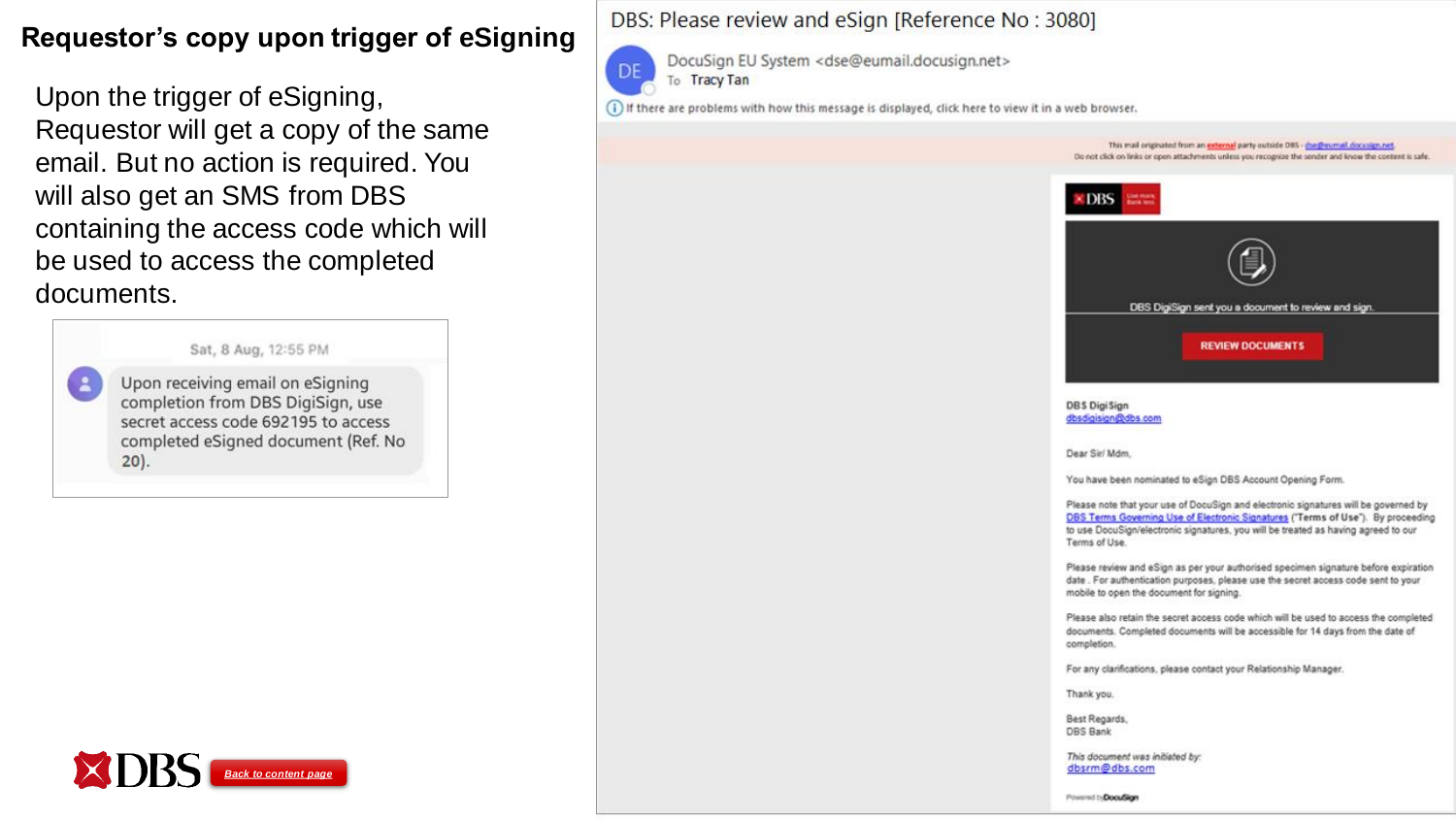## **Requestor's copy upon trigger of eSigning**

Upon the trigger of eSigning, Requestor will get a copy of the same email. But no action is required. You will also get an SMS from DBS containing the access code which will be used to access the completed documents.

Sat, 8 Aug, 12:55 PM

Upon receiving email on eSigning completion from DBS DigiSign, use secret access code 692195 to access completed eSigned document (Ref. No  $20$ ).

 $\ddot{\bullet}$ 

<span id="page-7-0"></span>

#### DBS: Please review and eSign [Reference No : 3080]



DocuSign EU System <dse@eumail.docusign.net> To Tracy Tan

(i) If there are problems with how this message is displayed, click here to view it in a web browser.

This mail originated from an external party outside DRS - (he@eumail.docusign.net Do not click on links or open attachments unless you recognize the sender and know the content is safe.



DBS DigiSign dbsdigisign@dbs.com

Dear Sir/ Mdm.

You have been nominated to eSign DBS Account Opening Form.

Please note that your use of DocuSign and electronic signatures will be governed by DBS Terms Governing Use of Electronic Signatures ("Terms of Use"). By proceeding to use DocuSign/electronic signatures, you will be treated as having agreed to our Terms of Use.

Please review and eSign as per your authorised specimen signature before expiration date . For authentication purposes, please use the secret access code sent to your mobile to open the document for signing.

Please also retain the secret access code which will be used to access the completed documents. Completed documents will be accessible for 14 days from the date of completion.

For any clarifications, please contact your Relationship Manager.

Thank you.

Best Regards. **DBS Bank** 

This document was initiated by:

Powered by DocuSign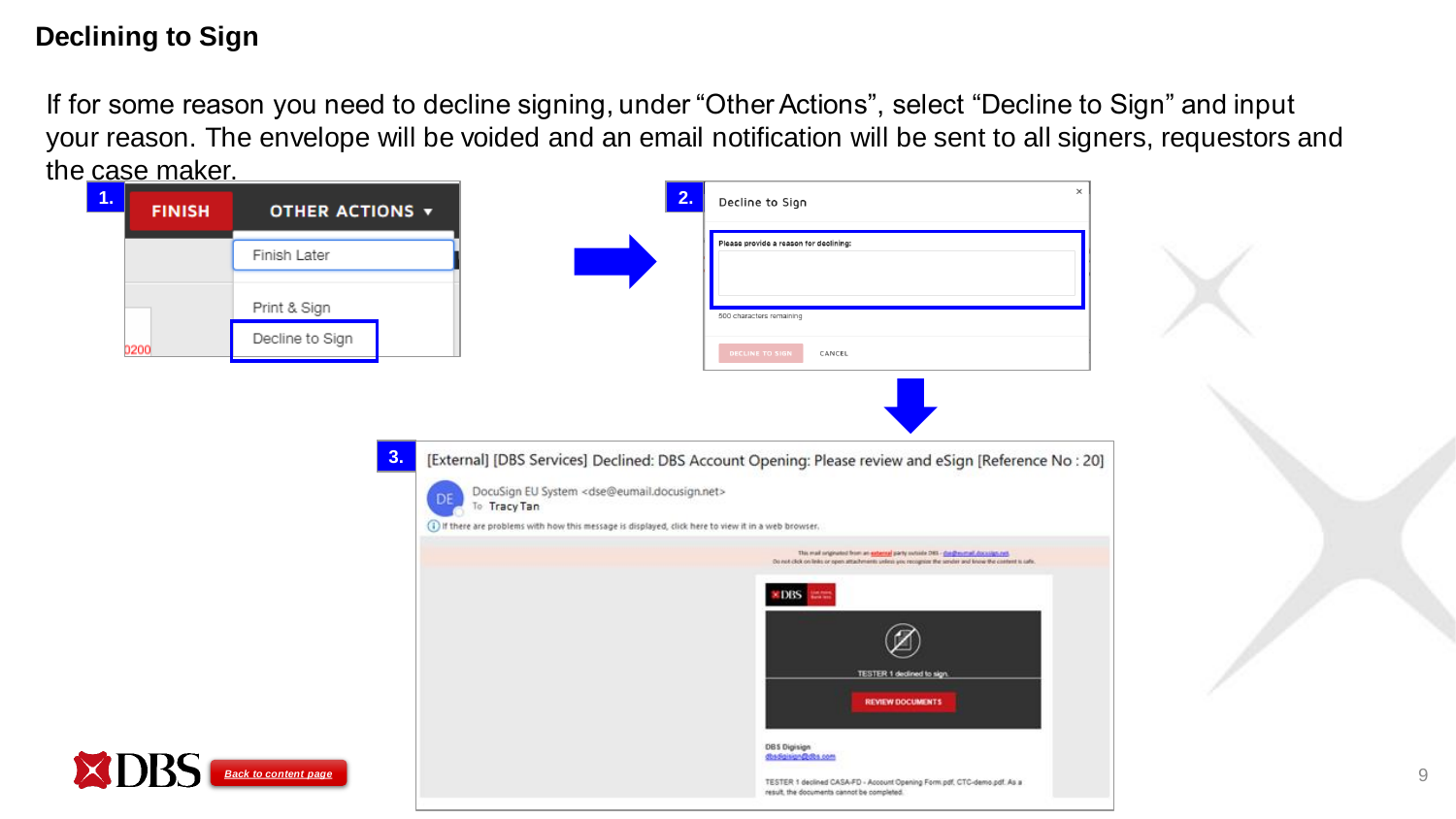## **Declining to Sign**

If for some reason you need to decline signing, under "Other Actions", select "Decline to Sign" and input your reason. The envelope will be voided and an email notification will be sent to all signers, requestors and the case maker.

<span id="page-8-0"></span>

| -------<br>1<br><b>FINISH</b> | OTHER ACTIONS $\blacktriangledown$ | 2.                                                                                                                                                                                                       | $\times$<br>Decline to Sign                                                                                                                                                                     |   |
|-------------------------------|------------------------------------|----------------------------------------------------------------------------------------------------------------------------------------------------------------------------------------------------------|-------------------------------------------------------------------------------------------------------------------------------------------------------------------------------------------------|---|
|                               | Finish Later                       |                                                                                                                                                                                                          | Please provide a reason for declining:                                                                                                                                                          |   |
|                               | Print & Sign                       |                                                                                                                                                                                                          | 500 characters remaining                                                                                                                                                                        |   |
| 0200                          | Decline to Sign                    |                                                                                                                                                                                                          | <b>DECLINE TO SIGN</b><br>CANCEL                                                                                                                                                                |   |
|                               |                                    |                                                                                                                                                                                                          |                                                                                                                                                                                                 |   |
|                               | 3.                                 | DocuSign EU System <dse@eumail.docusign.net><br/>DE<br/>To Tracy Tan<br/>(1) If there are problems with how this message is displayed, click here to view it in a web browser.</dse@eumail.docusign.net> | [External] [DBS Services] Declined: DBS Account Opening: Please review and eSign [Reference No : 20]                                                                                            |   |
|                               |                                    |                                                                                                                                                                                                          | this mail originated from an external party surside DRI - die @m.mail.coco.lign.net.<br>Do not click on links or open attachments unline you recognize the sender and know the content is safe. |   |
|                               |                                    |                                                                                                                                                                                                          | <b>EDIS</b><br>TESTER 1 declined to sign.<br><b>REVIEW DOCUMENTS</b>                                                                                                                            |   |
| T                             | <b>Back to content page</b>        |                                                                                                                                                                                                          | <b>DBS Digisign</b><br>dbsdgisign@dbs.com<br>TESTER 1 declined CASA-FD - Account Opening Form pdf, CTC-demo.pdf. As a<br>result, the documents cannot be completed.                             | 9 |